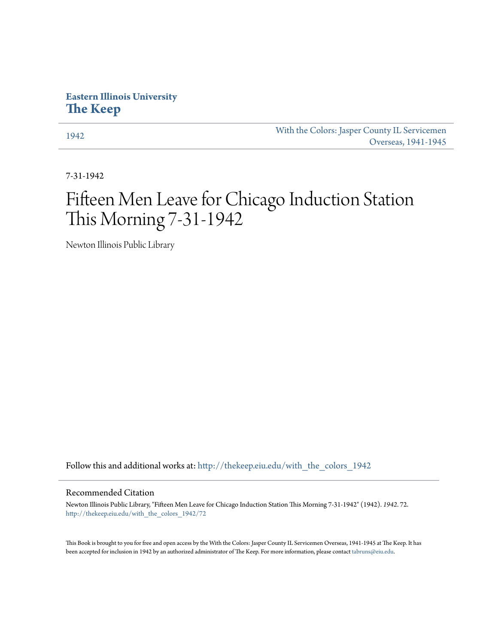## **Eastern Illinois University [The Keep](http://thekeep.eiu.edu?utm_source=thekeep.eiu.edu%2Fwith_the_colors_1942%2F72&utm_medium=PDF&utm_campaign=PDFCoverPages)**

[1942](http://thekeep.eiu.edu/with_the_colors_1942?utm_source=thekeep.eiu.edu%2Fwith_the_colors_1942%2F72&utm_medium=PDF&utm_campaign=PDFCoverPages) [With the Colors: Jasper County IL Servicemen](http://thekeep.eiu.edu/with_the_colors?utm_source=thekeep.eiu.edu%2Fwith_the_colors_1942%2F72&utm_medium=PDF&utm_campaign=PDFCoverPages) [Overseas, 1941-1945](http://thekeep.eiu.edu/with_the_colors?utm_source=thekeep.eiu.edu%2Fwith_the_colors_1942%2F72&utm_medium=PDF&utm_campaign=PDFCoverPages)

7-31-1942

# Fifteen Men Leave for Chicago Induction Station This Morning 7-31-1942

Newton Illinois Public Library

Follow this and additional works at: [http://thekeep.eiu.edu/with\\_the\\_colors\\_1942](http://thekeep.eiu.edu/with_the_colors_1942?utm_source=thekeep.eiu.edu%2Fwith_the_colors_1942%2F72&utm_medium=PDF&utm_campaign=PDFCoverPages)

### Recommended Citation

Newton Illinois Public Library, "Fifteen Men Leave for Chicago Induction Station This Morning 7-31-1942" (1942). *1942*. 72. [http://thekeep.eiu.edu/with\\_the\\_colors\\_1942/72](http://thekeep.eiu.edu/with_the_colors_1942/72?utm_source=thekeep.eiu.edu%2Fwith_the_colors_1942%2F72&utm_medium=PDF&utm_campaign=PDFCoverPages)

This Book is brought to you for free and open access by the With the Colors: Jasper County IL Servicemen Overseas, 1941-1945 at The Keep. It has been accepted for inclusion in 1942 by an authorized administrator of The Keep. For more information, please contact [tabruns@eiu.edu](mailto:tabruns@eiu.edu).